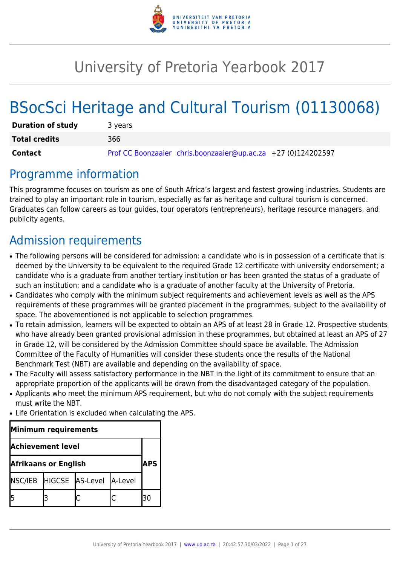

# University of Pretoria Yearbook 2017

# BSocSci Heritage and Cultural Tourism (01130068)

| <b>Duration of study</b> | 3 years                                                       |
|--------------------------|---------------------------------------------------------------|
| <b>Total credits</b>     | 366                                                           |
| Contact                  | Prof CC Boonzaaier chris.boonzaaier@up.ac.za +27 (0)124202597 |

## Programme information

This programme focuses on tourism as one of South Africa's largest and fastest growing industries. Students are trained to play an important role in tourism, especially as far as heritage and cultural tourism is concerned. Graduates can follow careers as tour guides, tour operators (entrepreneurs), heritage resource managers, and publicity agents.

## Admission requirements

- The following persons will be considered for admission: a candidate who is in possession of a certificate that is deemed by the University to be equivalent to the required Grade 12 certificate with university endorsement; a candidate who is a graduate from another tertiary institution or has been granted the status of a graduate of such an institution; and a candidate who is a graduate of another faculty at the University of Pretoria.
- Candidates who comply with the minimum subject requirements and achievement levels as well as the APS requirements of these programmes will be granted placement in the programmes, subject to the availability of space. The abovementioned is not applicable to selection programmes.
- To retain admission, learners will be expected to obtain an APS of at least 28 in Grade 12. Prospective students who have already been granted provisional admission in these programmes, but obtained at least an APS of 27 in Grade 12, will be considered by the Admission Committee should space be available. The Admission Committee of the Faculty of Humanities will consider these students once the results of the National Benchmark Test (NBT) are available and depending on the availability of space.
- The Faculty will assess satisfactory performance in the NBT in the light of its commitment to ensure that an appropriate proportion of the applicants will be drawn from the disadvantaged category of the population.
- Applicants who meet the minimum APS requirement, but who do not comply with the subject requirements must write the NBT.
- Life Orientation is excluded when calculating the APS.

| Minimum requirements        |  |                                 |            |  |
|-----------------------------|--|---------------------------------|------------|--|
| <b>Achievement level</b>    |  |                                 |            |  |
| <b>Afrikaans or English</b> |  |                                 | <b>APS</b> |  |
|                             |  | NSC/IEB HIGCSE AS-Level A-Level |            |  |
|                             |  |                                 |            |  |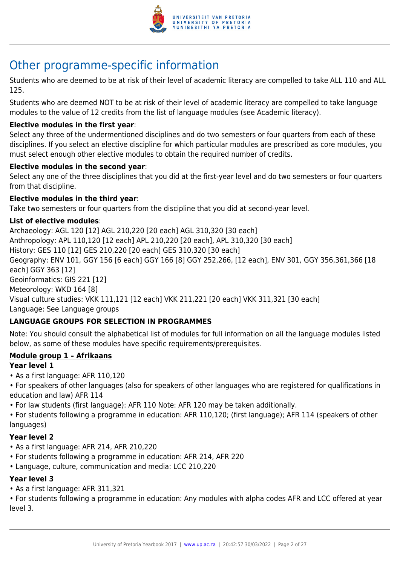

## Other programme-specific information

Students who are deemed to be at risk of their level of academic literacy are compelled to take ALL 110 and ALL 125.

Students who are deemed NOT to be at risk of their level of academic literacy are compelled to take language modules to the value of 12 credits from the list of language modules (see Academic literacy).

#### **Elective modules in the first year**:

Select any three of the undermentioned disciplines and do two semesters or four quarters from each of these disciplines. If you select an elective discipline for which particular modules are prescribed as core modules, you must select enough other elective modules to obtain the required number of credits.

#### **Elective modules in the second year**:

Select any one of the three disciplines that you did at the first-year level and do two semesters or four quarters from that discipline.

#### **Elective modules in the third year**:

Take two semesters or four quarters from the discipline that you did at second-year level.

#### **List of elective modules**:

Archaeology: AGL 120 [12] AGL 210,220 [20 each] AGL 310,320 [30 each] Anthropology: APL 110,120 [12 each] APL 210,220 [20 each], APL 310,320 [30 each] History: GES 110 [12] GES 210,220 [20 each] GES 310,320 [30 each] Geography: ENV 101, GGY 156 [6 each] GGY 166 [8] GGY 252,266, [12 each], ENV 301, GGY 356,361,366 [18 each] GGY 363 [12] Geoinformatics: GIS 221 [12] Meteorology: WKD 164 [8] Visual culture studies: VKK 111,121 [12 each] VKK 211,221 [20 each] VKK 311,321 [30 each] Language: See Language groups

#### **LANGUAGE GROUPS FOR SELECTION IN PROGRAMMES**

Note: You should consult the alphabetical list of modules for full information on all the language modules listed below, as some of these modules have specific requirements/prerequisites.

#### **Module group 1 – Afrikaans**

#### **Year level 1**

- As a first language: AFR 110,120
- For speakers of other languages (also for speakers of other languages who are registered for qualifications in education and law) AFR 114
- For law students (first language): AFR 110 Note: AFR 120 may be taken additionally.

• For students following a programme in education: AFR 110,120; (first language); AFR 114 (speakers of other languages)

#### **Year level 2**

- As a first language: AFR 214, AFR 210,220
- For students following a programme in education: AFR 214, AFR 220
- Language, culture, communication and media: LCC 210,220

#### **Year level 3**

• As a first language: AFR 311,321

• For students following a programme in education: Any modules with alpha codes AFR and LCC offered at year level 3.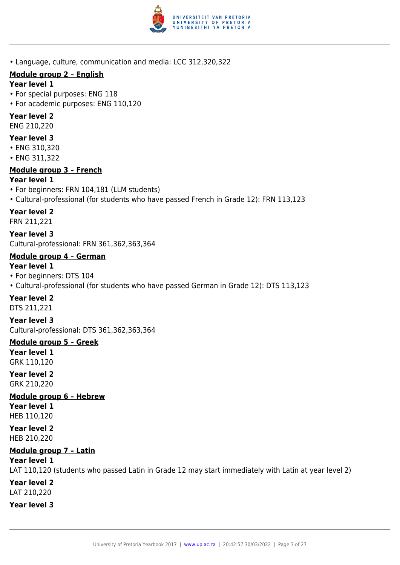

• Language, culture, communication and media: LCC 312,320,322

## **Module group 2 – English**

#### **Year level 1**

- For special purposes: ENG 118
- For academic purposes: ENG 110,120

## **Year level 2**

ENG 210,220

## **Year level 3**

- ENG 310,320
- ENG 311,322

## **Module group 3 – French**

## **Year level 1**

- For beginners: FRN 104,181 (LLM students)
- Cultural-professional (for students who have passed French in Grade 12): FRN 113,123

## **Year level 2**

FRN 211,221

**Year level 3** Cultural-professional: FRN 361,362,363,364

## **Module group 4 – German**

### **Year level 1**

- For beginners: DTS 104
- Cultural-professional (for students who have passed German in Grade 12): DTS 113,123

## **Year level 2**

DTS 211,221

**Year level 3** Cultural-professional: DTS 361,362,363,364

**Module group 5 – Greek Year level 1** GRK 110,120

**Year level 2** GRK 210,220

**Module group 6 – Hebrew Year level 1** HEB 110,120

**Year level 2** HEB 210,220

## **Module group 7 – Latin**

**Year level 1**

LAT 110,120 (students who passed Latin in Grade 12 may start immediately with Latin at year level 2) **Year level 2** LAT 210,220

**Year level 3**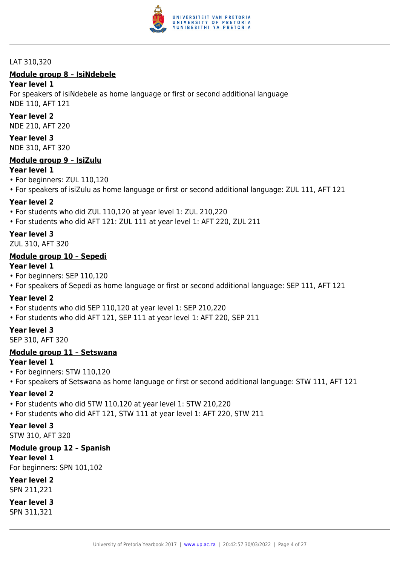

#### LAT 310,320

## **Module group 8 – IsiNdebele**

#### **Year level 1**

For speakers of isiNdebele as home language or first or second additional language NDE 110, AFT 121

#### **Year level 2**

NDE 210, AFT 220

## **Year level 3**

NDE 310, AFT 320

#### **Module group 9 – IsiZulu**

#### **Year level 1**

- For beginners: ZUL 110,120
- For speakers of isiZulu as home language or first or second additional language: ZUL 111, AFT 121

#### **Year level 2**

- For students who did ZUL 110,120 at year level 1: ZUL 210,220
- For students who did AFT 121: ZUL 111 at year level 1: AFT 220, ZUL 211

#### **Year level 3**

ZUL 310, AFT 320

#### **Module group 10 – Sepedi**

#### **Year level 1**

- For beginners: SEP 110,120
- For speakers of Sepedi as home language or first or second additional language: SEP 111, AFT 121

#### **Year level 2**

- For students who did SEP 110,120 at year level 1: SEP 210,220
- For students who did AFT 121, SEP 111 at year level 1: AFT 220, SEP 211

#### **Year level 3**

SEP 310, AFT 320

#### **Module group 11 – Setswana**

#### **Year level 1**

- For beginners: STW 110,120
- For speakers of Setswana as home language or first or second additional language: STW 111, AFT 121

#### **Year level 2**

- For students who did STW 110,120 at year level 1: STW 210,220
- For students who did AFT 121, STW 111 at year level 1: AFT 220, STW 211

#### **Year level 3**

STW 310, AFT 320

#### **Module group 12 – Spanish**

**Year level 1**

For beginners: SPN 101,102

#### **Year level 2**

SPN 211,221

#### **Year level 3**

SPN 311,321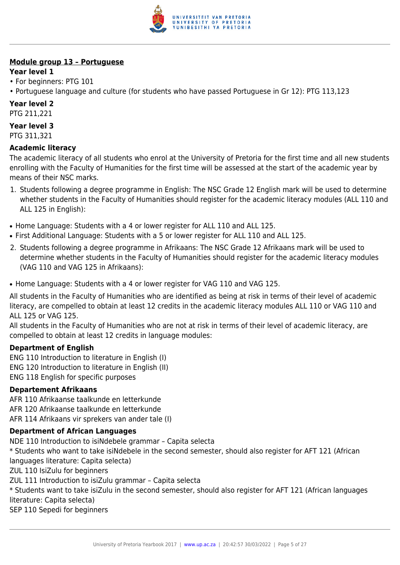

## **Module group 13 – Portuguese**

### **Year level 1**

- For beginners: PTG 101
- Portuguese language and culture (for students who have passed Portuguese in Gr 12): PTG 113,123

## **Year level 2**

PTG 211,221

## **Year level 3**

PTG 311,321

## **Academic literacy**

The academic literacy of all students who enrol at the University of Pretoria for the first time and all new students enrolling with the Faculty of Humanities for the first time will be assessed at the start of the academic year by means of their NSC marks.

- 1. Students following a degree programme in English: The NSC Grade 12 English mark will be used to determine whether students in the Faculty of Humanities should register for the academic literacy modules (ALL 110 and ALL 125 in English):
- Home Language: Students with a 4 or lower register for ALL 110 and ALL 125.
- First Additional Language: Students with a 5 or lower register for ALL 110 and ALL 125.
- 2. Students following a degree programme in Afrikaans: The NSC Grade 12 Afrikaans mark will be used to determine whether students in the Faculty of Humanities should register for the academic literacy modules (VAG 110 and VAG 125 in Afrikaans):
- Home Language: Students with a 4 or lower register for VAG 110 and VAG 125.

All students in the Faculty of Humanities who are identified as being at risk in terms of their level of academic literacy, are compelled to obtain at least 12 credits in the academic literacy modules ALL 110 or VAG 110 and ALL 125 or VAG 125.

All students in the Faculty of Humanities who are not at risk in terms of their level of academic literacy, are compelled to obtain at least 12 credits in language modules:

#### **Department of English**

ENG 110 Introduction to literature in English (I) ENG 120 Introduction to literature in English (II) ENG 118 English for specific purposes

#### **Departement Afrikaans**

AFR 110 Afrikaanse taalkunde en letterkunde AFR 120 Afrikaanse taalkunde en letterkunde AFR 114 Afrikaans vir sprekers van ander tale (I)

#### **Department of African Languages**

NDE 110 Introduction to isiNdebele grammar – Capita selecta \* Students who want to take isiNdebele in the second semester, should also register for AFT 121 (African languages literature: Capita selecta) ZUL 110 IsiZulu for beginners ZUL 111 Introduction to isiZulu grammar – Capita selecta \* Students want to take isiZulu in the second semester, should also register for AFT 121 (African languages literature: Capita selecta) SEP 110 Sepedi for beginners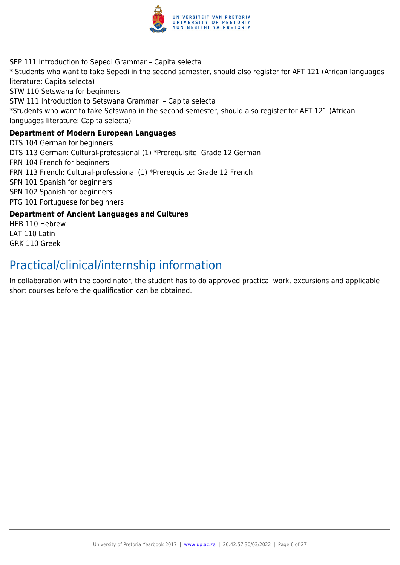

SEP 111 Introduction to Sepedi Grammar – Capita selecta \* Students who want to take Sepedi in the second semester, should also register for AFT 121 (African languages literature: Capita selecta) STW 110 Setswana for beginners STW 111 Introduction to Setswana Grammar – Capita selecta \*Students who want to take Setswana in the second semester, should also register for AFT 121 (African languages literature: Capita selecta) **Department of Modern European Languages** DTS 104 German for beginners DTS 113 German: Cultural-professional (1) \*Prerequisite: Grade 12 German FRN 104 French for beginners FRN 113 French: Cultural-professional (1) \*Prerequisite: Grade 12 French SPN 101 Spanish for beginners SPN 102 Spanish for beginners PTG 101 Portuguese for beginners

#### **Department of Ancient Languages and Cultures**

HEB 110 Hebrew LAT 110 Latin GRK 110 Greek

## Practical/clinical/internship information

In collaboration with the coordinator, the student has to do approved practical work, excursions and applicable short courses before the qualification can be obtained.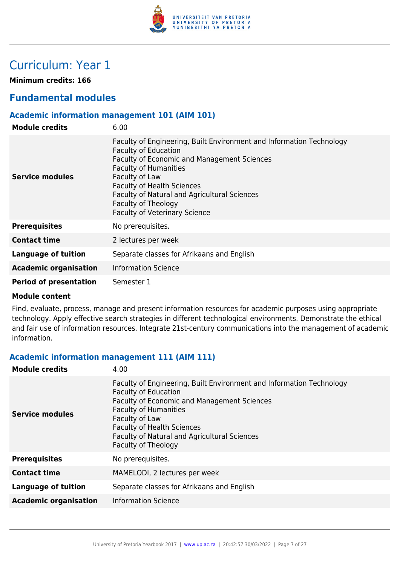

## Curriculum: Year 1

**Minimum credits: 166**

## **Fundamental modules**

#### **Academic information management 101 (AIM 101)**

| <b>Module credits</b>         | 6.00                                                                                                                                                                                                                                                                                                                                                     |
|-------------------------------|----------------------------------------------------------------------------------------------------------------------------------------------------------------------------------------------------------------------------------------------------------------------------------------------------------------------------------------------------------|
| Service modules               | Faculty of Engineering, Built Environment and Information Technology<br><b>Faculty of Education</b><br>Faculty of Economic and Management Sciences<br><b>Faculty of Humanities</b><br>Faculty of Law<br><b>Faculty of Health Sciences</b><br>Faculty of Natural and Agricultural Sciences<br>Faculty of Theology<br><b>Faculty of Veterinary Science</b> |
| <b>Prerequisites</b>          | No prerequisites.                                                                                                                                                                                                                                                                                                                                        |
| <b>Contact time</b>           | 2 lectures per week                                                                                                                                                                                                                                                                                                                                      |
| <b>Language of tuition</b>    | Separate classes for Afrikaans and English                                                                                                                                                                                                                                                                                                               |
| <b>Academic organisation</b>  | <b>Information Science</b>                                                                                                                                                                                                                                                                                                                               |
| <b>Period of presentation</b> | Semester 1                                                                                                                                                                                                                                                                                                                                               |

#### **Module content**

Find, evaluate, process, manage and present information resources for academic purposes using appropriate technology. Apply effective search strategies in different technological environments. Demonstrate the ethical and fair use of information resources. Integrate 21st-century communications into the management of academic information.

#### **Academic information management 111 (AIM 111)**

| 4.00                                                                                                                                                                                                                                                                                                             |
|------------------------------------------------------------------------------------------------------------------------------------------------------------------------------------------------------------------------------------------------------------------------------------------------------------------|
| Faculty of Engineering, Built Environment and Information Technology<br><b>Faculty of Education</b><br>Faculty of Economic and Management Sciences<br><b>Faculty of Humanities</b><br>Faculty of Law<br><b>Faculty of Health Sciences</b><br>Faculty of Natural and Agricultural Sciences<br>Faculty of Theology |
| No prerequisites.                                                                                                                                                                                                                                                                                                |
| MAMELODI, 2 lectures per week                                                                                                                                                                                                                                                                                    |
| Separate classes for Afrikaans and English                                                                                                                                                                                                                                                                       |
| <b>Information Science</b>                                                                                                                                                                                                                                                                                       |
|                                                                                                                                                                                                                                                                                                                  |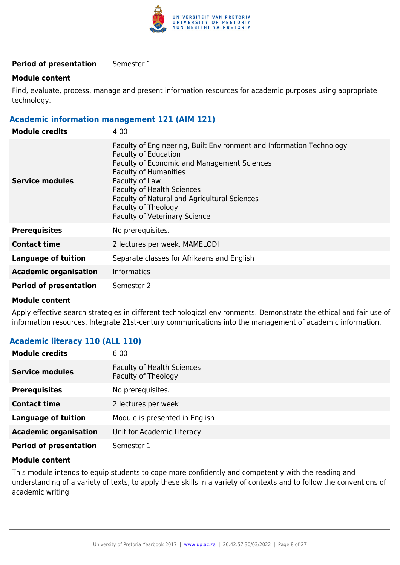

#### **Period of presentation** Semester 1

#### **Module content**

Find, evaluate, process, manage and present information resources for academic purposes using appropriate technology.

#### **Academic information management 121 (AIM 121)**

| <b>Module credits</b>         | 4.00                                                                                                                                                                                                                                                                                                                                                            |
|-------------------------------|-----------------------------------------------------------------------------------------------------------------------------------------------------------------------------------------------------------------------------------------------------------------------------------------------------------------------------------------------------------------|
| Service modules               | Faculty of Engineering, Built Environment and Information Technology<br><b>Faculty of Education</b><br><b>Faculty of Economic and Management Sciences</b><br><b>Faculty of Humanities</b><br>Faculty of Law<br><b>Faculty of Health Sciences</b><br>Faculty of Natural and Agricultural Sciences<br>Faculty of Theology<br><b>Faculty of Veterinary Science</b> |
| <b>Prerequisites</b>          | No prerequisites.                                                                                                                                                                                                                                                                                                                                               |
| <b>Contact time</b>           | 2 lectures per week, MAMELODI                                                                                                                                                                                                                                                                                                                                   |
| <b>Language of tuition</b>    | Separate classes for Afrikaans and English                                                                                                                                                                                                                                                                                                                      |
| <b>Academic organisation</b>  | <b>Informatics</b>                                                                                                                                                                                                                                                                                                                                              |
| <b>Period of presentation</b> | Semester 2                                                                                                                                                                                                                                                                                                                                                      |

#### **Module content**

Apply effective search strategies in different technological environments. Demonstrate the ethical and fair use of information resources. Integrate 21st-century communications into the management of academic information.

#### **Academic literacy 110 (ALL 110)**

| <b>Module credits</b>         | 6.00                                                     |
|-------------------------------|----------------------------------------------------------|
| <b>Service modules</b>        | <b>Faculty of Health Sciences</b><br>Faculty of Theology |
| <b>Prerequisites</b>          | No prerequisites.                                        |
| <b>Contact time</b>           | 2 lectures per week                                      |
| <b>Language of tuition</b>    | Module is presented in English                           |
| <b>Academic organisation</b>  | Unit for Academic Literacy                               |
| <b>Period of presentation</b> | Semester 1                                               |

#### **Module content**

This module intends to equip students to cope more confidently and competently with the reading and understanding of a variety of texts, to apply these skills in a variety of contexts and to follow the conventions of academic writing.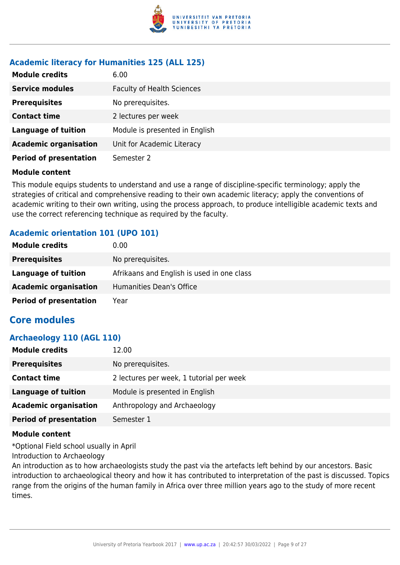

#### **Academic literacy for Humanities 125 (ALL 125)**

| <b>Module credits</b>         | 6.00                              |
|-------------------------------|-----------------------------------|
| <b>Service modules</b>        | <b>Faculty of Health Sciences</b> |
| <b>Prerequisites</b>          | No prerequisites.                 |
| <b>Contact time</b>           | 2 lectures per week               |
| <b>Language of tuition</b>    | Module is presented in English    |
| <b>Academic organisation</b>  | Unit for Academic Literacy        |
| <b>Period of presentation</b> | Semester 2                        |

#### **Module content**

This module equips students to understand and use a range of discipline-specific terminology; apply the strategies of critical and comprehensive reading to their own academic literacy; apply the conventions of academic writing to their own writing, using the process approach, to produce intelligible academic texts and use the correct referencing technique as required by the faculty.

#### **Academic orientation 101 (UPO 101)**

| <b>Module credits</b>         | 0.00                                       |
|-------------------------------|--------------------------------------------|
| <b>Prerequisites</b>          | No prerequisites.                          |
| Language of tuition           | Afrikaans and English is used in one class |
| <b>Academic organisation</b>  | Humanities Dean's Office                   |
| <b>Period of presentation</b> | Year                                       |

### **Core modules**

#### **Archaeology 110 (AGL 110)**

| <b>Module credits</b>         | 12.00                                    |
|-------------------------------|------------------------------------------|
| <b>Prerequisites</b>          | No prerequisites.                        |
| <b>Contact time</b>           | 2 lectures per week, 1 tutorial per week |
| Language of tuition           | Module is presented in English           |
| <b>Academic organisation</b>  | Anthropology and Archaeology             |
| <b>Period of presentation</b> | Semester 1                               |

#### **Module content**

\*Optional Field school usually in April

Introduction to Archaeology

An introduction as to how archaeologists study the past via the artefacts left behind by our ancestors. Basic introduction to archaeological theory and how it has contributed to interpretation of the past is discussed. Topics range from the origins of the human family in Africa over three million years ago to the study of more recent times.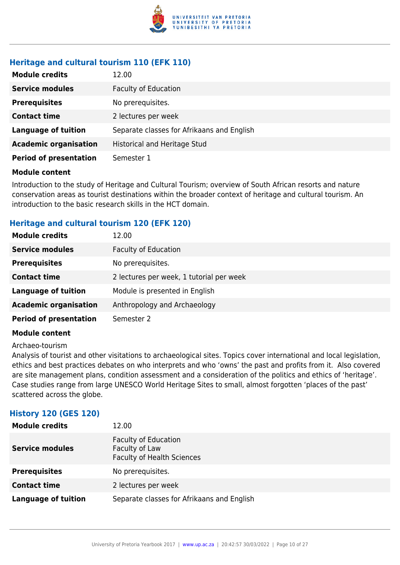

## **Heritage and cultural tourism 110 (EFK 110)**

| <b>Module credits</b>         | 12.00                                      |
|-------------------------------|--------------------------------------------|
| <b>Service modules</b>        | <b>Faculty of Education</b>                |
| <b>Prerequisites</b>          | No prerequisites.                          |
| <b>Contact time</b>           | 2 lectures per week                        |
| <b>Language of tuition</b>    | Separate classes for Afrikaans and English |
| <b>Academic organisation</b>  | <b>Historical and Heritage Stud</b>        |
| <b>Period of presentation</b> | Semester 1                                 |

#### **Module content**

Introduction to the study of Heritage and Cultural Tourism; overview of South African resorts and nature conservation areas as tourist destinations within the broader context of heritage and cultural tourism. An introduction to the basic research skills in the HCT domain.

#### **Heritage and cultural tourism 120 (EFK 120)**

| <b>Module credits</b>         | 12.00                                    |
|-------------------------------|------------------------------------------|
| <b>Service modules</b>        | <b>Faculty of Education</b>              |
| <b>Prerequisites</b>          | No prerequisites.                        |
| <b>Contact time</b>           | 2 lectures per week, 1 tutorial per week |
| <b>Language of tuition</b>    | Module is presented in English           |
| <b>Academic organisation</b>  | Anthropology and Archaeology             |
| <b>Period of presentation</b> | Semester 2                               |

#### **Module content**

Archaeo-tourism

Analysis of tourist and other visitations to archaeological sites. Topics cover international and local legislation, ethics and best practices debates on who interprets and who 'owns' the past and profits from it. Also covered are site management plans, condition assessment and a consideration of the politics and ethics of 'heritage'. Case studies range from large UNESCO World Heritage Sites to small, almost forgotten 'places of the past' scattered across the globe.

#### **History 120 (GES 120)**

| <b>Module credits</b>  | 12.00                                                                              |
|------------------------|------------------------------------------------------------------------------------|
| <b>Service modules</b> | <b>Faculty of Education</b><br>Faculty of Law<br><b>Faculty of Health Sciences</b> |
| <b>Prerequisites</b>   | No prerequisites.                                                                  |
| <b>Contact time</b>    | 2 lectures per week                                                                |
| Language of tuition    | Separate classes for Afrikaans and English                                         |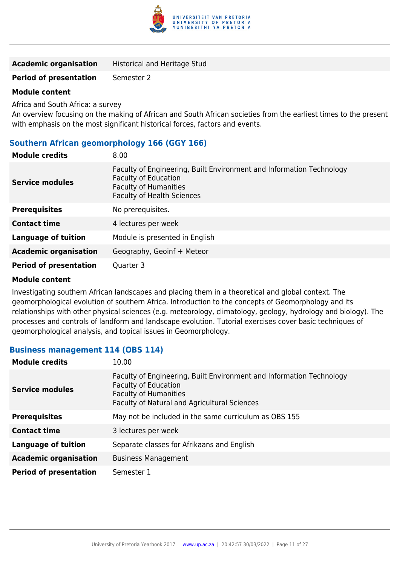

| <b>Academic organisation</b> | <b>Historical and Heritage Stud</b> |
|------------------------------|-------------------------------------|
|------------------------------|-------------------------------------|

#### **Period of presentation** Semester 2

#### **Module content**

Africa and South Africa: a survey

An overview focusing on the making of African and South African societies from the earliest times to the present with emphasis on the most significant historical forces, factors and events.

#### **Southern African geomorphology 166 (GGY 166)**

| <b>Module credits</b>         | 8.00                                                                                                                                                                     |
|-------------------------------|--------------------------------------------------------------------------------------------------------------------------------------------------------------------------|
| Service modules               | Faculty of Engineering, Built Environment and Information Technology<br><b>Faculty of Education</b><br><b>Faculty of Humanities</b><br><b>Faculty of Health Sciences</b> |
| <b>Prerequisites</b>          | No prerequisites.                                                                                                                                                        |
| <b>Contact time</b>           | 4 lectures per week                                                                                                                                                      |
| <b>Language of tuition</b>    | Module is presented in English                                                                                                                                           |
| <b>Academic organisation</b>  | Geography, Geoinf + Meteor                                                                                                                                               |
| <b>Period of presentation</b> | Quarter 3                                                                                                                                                                |

#### **Module content**

Investigating southern African landscapes and placing them in a theoretical and global context. The geomorphological evolution of southern Africa. Introduction to the concepts of Geomorphology and its relationships with other physical sciences (e.g. meteorology, climatology, geology, hydrology and biology). The processes and controls of landform and landscape evolution. Tutorial exercises cover basic techniques of geomorphological analysis, and topical issues in Geomorphology.

#### **Business management 114 (OBS 114)**

| <b>Module credits</b>         | 10.00                                                                                                                                                                               |
|-------------------------------|-------------------------------------------------------------------------------------------------------------------------------------------------------------------------------------|
| <b>Service modules</b>        | Faculty of Engineering, Built Environment and Information Technology<br><b>Faculty of Education</b><br><b>Faculty of Humanities</b><br>Faculty of Natural and Agricultural Sciences |
| <b>Prerequisites</b>          | May not be included in the same curriculum as OBS 155                                                                                                                               |
| <b>Contact time</b>           | 3 lectures per week                                                                                                                                                                 |
| <b>Language of tuition</b>    | Separate classes for Afrikaans and English                                                                                                                                          |
| <b>Academic organisation</b>  | <b>Business Management</b>                                                                                                                                                          |
| <b>Period of presentation</b> | Semester 1                                                                                                                                                                          |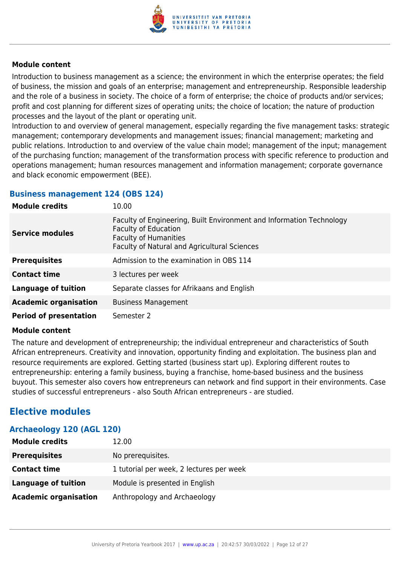

Introduction to business management as a science; the environment in which the enterprise operates; the field of business, the mission and goals of an enterprise; management and entrepreneurship. Responsible leadership and the role of a business in society. The choice of a form of enterprise; the choice of products and/or services; profit and cost planning for different sizes of operating units; the choice of location; the nature of production processes and the layout of the plant or operating unit.

Introduction to and overview of general management, especially regarding the five management tasks: strategic management; contemporary developments and management issues; financial management; marketing and public relations. Introduction to and overview of the value chain model; management of the input; management of the purchasing function; management of the transformation process with specific reference to production and operations management; human resources management and information management; corporate governance and black economic empowerment (BEE).

#### **Business management 124 (OBS 124)**

| <b>Module credits</b>         | 10.00                                                                                                                                                                               |
|-------------------------------|-------------------------------------------------------------------------------------------------------------------------------------------------------------------------------------|
| <b>Service modules</b>        | Faculty of Engineering, Built Environment and Information Technology<br><b>Faculty of Education</b><br><b>Faculty of Humanities</b><br>Faculty of Natural and Agricultural Sciences |
| <b>Prerequisites</b>          | Admission to the examination in OBS 114                                                                                                                                             |
| <b>Contact time</b>           | 3 lectures per week                                                                                                                                                                 |
| <b>Language of tuition</b>    | Separate classes for Afrikaans and English                                                                                                                                          |
| <b>Academic organisation</b>  | <b>Business Management</b>                                                                                                                                                          |
| <b>Period of presentation</b> | Semester 2                                                                                                                                                                          |

#### **Module content**

The nature and development of entrepreneurship; the individual entrepreneur and characteristics of South African entrepreneurs. Creativity and innovation, opportunity finding and exploitation. The business plan and resource requirements are explored. Getting started (business start up). Exploring different routes to entrepreneurship: entering a family business, buying a franchise, home-based business and the business buyout. This semester also covers how entrepreneurs can network and find support in their environments. Case studies of successful entrepreneurs - also South African entrepreneurs - are studied.

## **Elective modules**

| Archaeology 120 (AGL 120)    |                                          |
|------------------------------|------------------------------------------|
| <b>Module credits</b>        | 12.00                                    |
| <b>Prerequisites</b>         | No prerequisites.                        |
| <b>Contact time</b>          | 1 tutorial per week, 2 lectures per week |
| Language of tuition          | Module is presented in English           |
| <b>Academic organisation</b> | Anthropology and Archaeology             |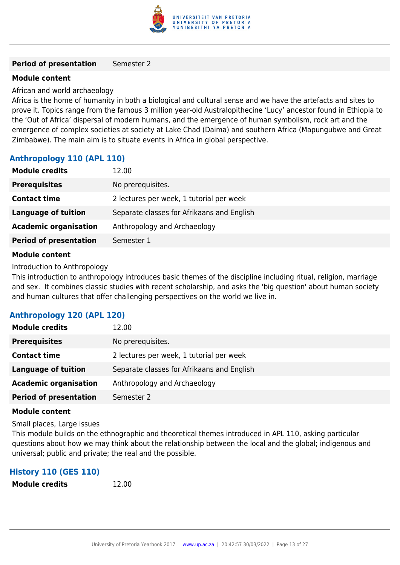

#### **Period of presentation** Semester 2

#### **Module content**

African and world archaeology

Africa is the home of humanity in both a biological and cultural sense and we have the artefacts and sites to prove it. Topics range from the famous 3 million year-old Australopithecine 'Lucy' ancestor found in Ethiopia to the 'Out of Africa' dispersal of modern humans, and the emergence of human symbolism, rock art and the emergence of complex societies at society at Lake Chad (Daima) and southern Africa (Mapungubwe and Great Zimbabwe). The main aim is to situate events in Africa in global perspective.

#### **Anthropology 110 (APL 110)**

| <b>Module credits</b>         | 12.00                                      |
|-------------------------------|--------------------------------------------|
| <b>Prerequisites</b>          | No prerequisites.                          |
| <b>Contact time</b>           | 2 lectures per week, 1 tutorial per week   |
| <b>Language of tuition</b>    | Separate classes for Afrikaans and English |
| <b>Academic organisation</b>  | Anthropology and Archaeology               |
| <b>Period of presentation</b> | Semester 1                                 |
|                               |                                            |

#### **Module content**

Introduction to Anthropology

This introduction to anthropology introduces basic themes of the discipline including ritual, religion, marriage and sex. It combines classic studies with recent scholarship, and asks the 'big question' about human society and human cultures that offer challenging perspectives on the world we live in.

#### **Anthropology 120 (APL 120)**

| <b>Module credits</b>         | 12.00                                      |
|-------------------------------|--------------------------------------------|
| <b>Prerequisites</b>          | No prerequisites.                          |
| <b>Contact time</b>           | 2 lectures per week, 1 tutorial per week   |
| <b>Language of tuition</b>    | Separate classes for Afrikaans and English |
| <b>Academic organisation</b>  | Anthropology and Archaeology               |
| <b>Period of presentation</b> | Semester 2                                 |

#### **Module content**

Small places, Large issues

This module builds on the ethnographic and theoretical themes introduced in APL 110, asking particular questions about how we may think about the relationship between the local and the global; indigenous and universal; public and private; the real and the possible.

#### **History 110 (GES 110)**

**Module credits** 12.00

University of Pretoria Yearbook 2017 | [www.up.ac.za](https://www.google.com/) | 20:42:57 30/03/2022 | Page 13 of 27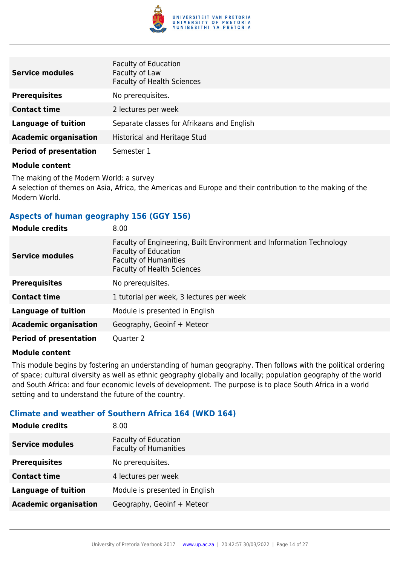

| <b>Service modules</b>        | <b>Faculty of Education</b><br>Faculty of Law<br><b>Faculty of Health Sciences</b> |
|-------------------------------|------------------------------------------------------------------------------------|
| <b>Prerequisites</b>          | No prerequisites.                                                                  |
| <b>Contact time</b>           | 2 lectures per week                                                                |
| <b>Language of tuition</b>    | Separate classes for Afrikaans and English                                         |
| <b>Academic organisation</b>  | Historical and Heritage Stud                                                       |
| <b>Period of presentation</b> | Semester 1                                                                         |

The making of the Modern World: a survey A selection of themes on Asia, Africa, the Americas and Europe and their contribution to the making of the Modern World.

#### **Aspects of human geography 156 (GGY 156)**

| <b>Module credits</b>         | 8.00                                                                                                                                                              |
|-------------------------------|-------------------------------------------------------------------------------------------------------------------------------------------------------------------|
| <b>Service modules</b>        | Faculty of Engineering, Built Environment and Information Technology<br>Faculty of Education<br><b>Faculty of Humanities</b><br><b>Faculty of Health Sciences</b> |
| <b>Prerequisites</b>          | No prerequisites.                                                                                                                                                 |
| <b>Contact time</b>           | 1 tutorial per week, 3 lectures per week                                                                                                                          |
| <b>Language of tuition</b>    | Module is presented in English                                                                                                                                    |
| <b>Academic organisation</b>  | Geography, Geoinf + Meteor                                                                                                                                        |
| <b>Period of presentation</b> | Quarter 2                                                                                                                                                         |

#### **Module content**

This module begins by fostering an understanding of human geography. Then follows with the political ordering of space; cultural diversity as well as ethnic geography globally and locally; population geography of the world and South Africa: and four economic levels of development. The purpose is to place South Africa in a world setting and to understand the future of the country.

#### **Climate and weather of Southern Africa 164 (WKD 164)**

| <b>Module credits</b>        | 8.00                                                        |
|------------------------------|-------------------------------------------------------------|
| <b>Service modules</b>       | <b>Faculty of Education</b><br><b>Faculty of Humanities</b> |
| <b>Prerequisites</b>         | No prerequisites.                                           |
| <b>Contact time</b>          | 4 lectures per week                                         |
| <b>Language of tuition</b>   | Module is presented in English                              |
| <b>Academic organisation</b> | Geography, Geoinf + Meteor                                  |
|                              |                                                             |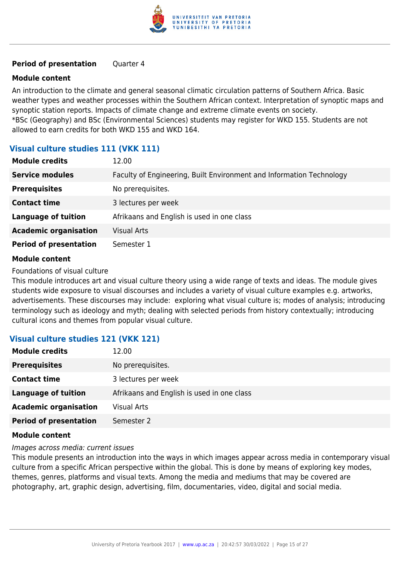

#### **Period of presentation** Quarter 4

#### **Module content**

An introduction to the climate and general seasonal climatic circulation patterns of Southern Africa. Basic weather types and weather processes within the Southern African context. Interpretation of synoptic maps and synoptic station reports. Impacts of climate change and extreme climate events on society. \*BSc (Geography) and BSc (Environmental Sciences) students may register for WKD 155. Students are not allowed to earn credits for both WKD 155 and WKD 164.

#### **Visual culture studies 111 (VKK 111)**

| <b>Module credits</b>         | 12.00                                                                |
|-------------------------------|----------------------------------------------------------------------|
| <b>Service modules</b>        | Faculty of Engineering, Built Environment and Information Technology |
| <b>Prerequisites</b>          | No prerequisites.                                                    |
| <b>Contact time</b>           | 3 lectures per week                                                  |
| <b>Language of tuition</b>    | Afrikaans and English is used in one class                           |
| <b>Academic organisation</b>  | <b>Visual Arts</b>                                                   |
| <b>Period of presentation</b> | Semester 1                                                           |

#### **Module content**

Foundations of visual culture

This module introduces art and visual culture theory using a wide range of texts and ideas. The module gives students wide exposure to visual discourses and includes a variety of visual culture examples e.g. artworks, advertisements. These discourses may include: exploring what visual culture is; modes of analysis; introducing terminology such as ideology and myth; dealing with selected periods from history contextually; introducing cultural icons and themes from popular visual culture.

#### **Visual culture studies 121 (VKK 121)**

| <b>Module credits</b>         | 12.00                                      |
|-------------------------------|--------------------------------------------|
| <b>Prerequisites</b>          | No prerequisites.                          |
| <b>Contact time</b>           | 3 lectures per week                        |
| <b>Language of tuition</b>    | Afrikaans and English is used in one class |
| <b>Academic organisation</b>  | <b>Visual Arts</b>                         |
| <b>Period of presentation</b> | Semester 2                                 |

#### **Module content**

Images across media: current issues

This module presents an introduction into the ways in which images appear across media in contemporary visual culture from a specific African perspective within the global. This is done by means of exploring key modes, themes, genres, platforms and visual texts. Among the media and mediums that may be covered are photography, art, graphic design, advertising, film, documentaries, video, digital and social media.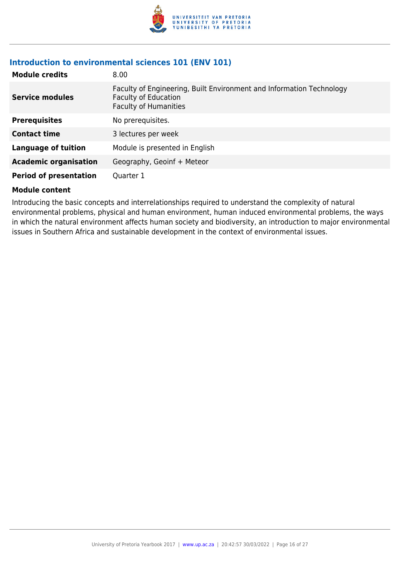

#### **Introduction to environmental sciences 101 (ENV 101)**

| <b>Module credits</b>         | 8.00                                                                                                                                |
|-------------------------------|-------------------------------------------------------------------------------------------------------------------------------------|
| <b>Service modules</b>        | Faculty of Engineering, Built Environment and Information Technology<br><b>Faculty of Education</b><br><b>Faculty of Humanities</b> |
| <b>Prerequisites</b>          | No prerequisites.                                                                                                                   |
| <b>Contact time</b>           | 3 lectures per week                                                                                                                 |
| <b>Language of tuition</b>    | Module is presented in English                                                                                                      |
| <b>Academic organisation</b>  | Geography, Geoinf + Meteor                                                                                                          |
| <b>Period of presentation</b> | Quarter 1                                                                                                                           |

#### **Module content**

Introducing the basic concepts and interrelationships required to understand the complexity of natural environmental problems, physical and human environment, human induced environmental problems, the ways in which the natural environment affects human society and biodiversity, an introduction to major environmental issues in Southern Africa and sustainable development in the context of environmental issues.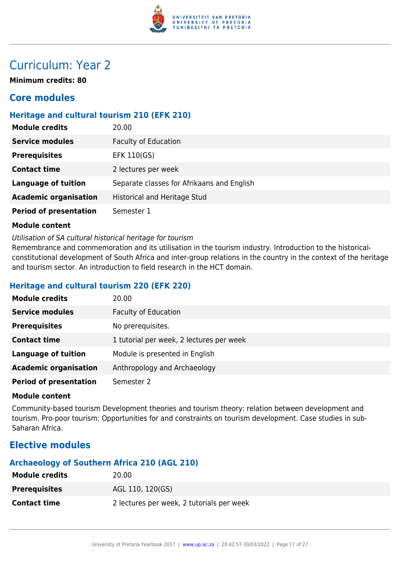

## Curriculum: Year 2

**Minimum credits: 80**

## **Core modules**

### **Heritage and cultural tourism 210 (EFK 210)**

| <b>Module credits</b>         | 20.00                                      |
|-------------------------------|--------------------------------------------|
| <b>Service modules</b>        | <b>Faculty of Education</b>                |
| <b>Prerequisites</b>          | EFK 110(GS)                                |
| <b>Contact time</b>           | 2 lectures per week                        |
| <b>Language of tuition</b>    | Separate classes for Afrikaans and English |
| <b>Academic organisation</b>  | <b>Historical and Heritage Stud</b>        |
| <b>Period of presentation</b> | Semester 1                                 |

#### **Module content**

Utilisation of SA cultural historical heritage for tourism

Remembrance and commemoration and its utilisation in the tourism industry. Introduction to the historicalconstitutional development of South Africa and inter-group relations in the country in the context of the heritage and tourism sector. An introduction to field research in the HCT domain.

#### **Heritage and cultural tourism 220 (EFK 220)**

| <b>Module credits</b>         | 20.00                                    |
|-------------------------------|------------------------------------------|
| <b>Service modules</b>        | <b>Faculty of Education</b>              |
| <b>Prerequisites</b>          | No prerequisites.                        |
| <b>Contact time</b>           | 1 tutorial per week, 2 lectures per week |
| <b>Language of tuition</b>    | Module is presented in English           |
| <b>Academic organisation</b>  | Anthropology and Archaeology             |
| <b>Period of presentation</b> | Semester 2                               |

#### **Module content**

Community-based tourism Development theories and tourism theory: relation between development and tourism. Pro-poor tourism: Opportunities for and constraints on tourism development. Case studies in sub-Saharan Africa.

## **Elective modules**

#### **Archaeology of Southern Africa 210 (AGL 210)**

| <b>Module credits</b> | 20.00                                     |
|-----------------------|-------------------------------------------|
| <b>Prerequisites</b>  | AGL 110, 120(GS)                          |
| <b>Contact time</b>   | 2 lectures per week, 2 tutorials per week |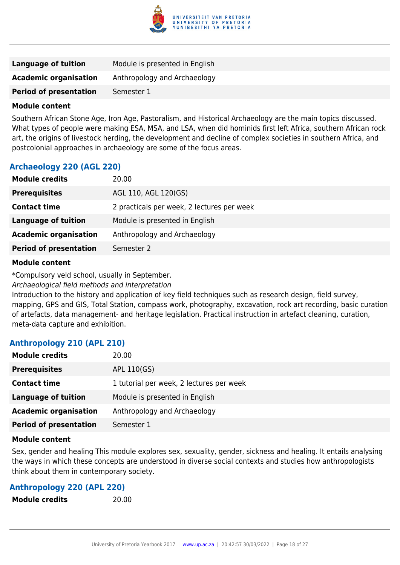

| <b>Language of tuition</b>    | Module is presented in English |
|-------------------------------|--------------------------------|
| <b>Academic organisation</b>  | Anthropology and Archaeology   |
| <b>Period of presentation</b> | Semester 1                     |

Southern African Stone Age, Iron Age, Pastoralism, and Historical Archaeology are the main topics discussed. What types of people were making ESA, MSA, and LSA, when did hominids first left Africa, southern African rock art, the origins of livestock herding, the development and decline of complex societies in southern Africa, and postcolonial approaches in archaeology are some of the focus areas.

#### **Archaeology 220 (AGL 220)**

| <b>Module credits</b>         | 20.00                                      |
|-------------------------------|--------------------------------------------|
| <b>Prerequisites</b>          | AGL 110, AGL 120(GS)                       |
| <b>Contact time</b>           | 2 practicals per week, 2 lectures per week |
| <b>Language of tuition</b>    | Module is presented in English             |
| <b>Academic organisation</b>  | Anthropology and Archaeology               |
| <b>Period of presentation</b> | Semester 2                                 |

#### **Module content**

\*Compulsory veld school, usually in September.

Archaeological field methods and interpretation

Introduction to the history and application of key field techniques such as research design, field survey, mapping, GPS and GIS, Total Station, compass work, photography, excavation, rock art recording, basic curation of artefacts, data management- and heritage legislation. Practical instruction in artefact cleaning, curation, meta-data capture and exhibition.

#### **Anthropology 210 (APL 210)**

| <b>Module credits</b>         | 20.00                                    |
|-------------------------------|------------------------------------------|
| <b>Prerequisites</b>          | APL 110(GS)                              |
| <b>Contact time</b>           | 1 tutorial per week, 2 lectures per week |
| Language of tuition           | Module is presented in English           |
| <b>Academic organisation</b>  | Anthropology and Archaeology             |
| <b>Period of presentation</b> | Semester 1                               |

#### **Module content**

Sex, gender and healing This module explores sex, sexuality, gender, sickness and healing. It entails analysing the ways in which these concepts are understood in diverse social contexts and studies how anthropologists think about them in contemporary society.

#### **Anthropology 220 (APL 220)**

**Module credits** 20.00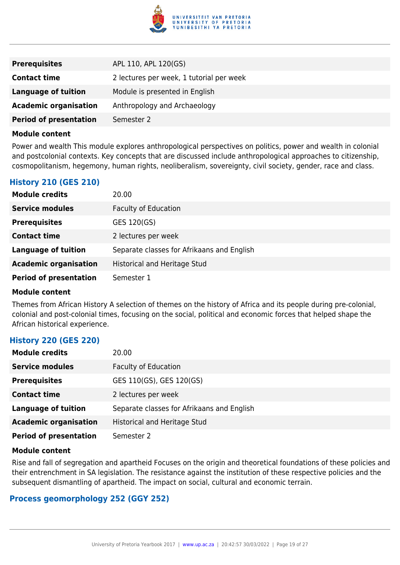

| <b>Prerequisites</b>          | APL 110, APL 120(GS)                     |
|-------------------------------|------------------------------------------|
| <b>Contact time</b>           | 2 lectures per week, 1 tutorial per week |
| <b>Language of tuition</b>    | Module is presented in English           |
| <b>Academic organisation</b>  | Anthropology and Archaeology             |
| <b>Period of presentation</b> | Semester 2                               |

Power and wealth This module explores anthropological perspectives on politics, power and wealth in colonial and postcolonial contexts. Key concepts that are discussed include anthropological approaches to citizenship, cosmopolitanism, hegemony, human rights, neoliberalism, sovereignty, civil society, gender, race and class.

#### **History 210 (GES 210)**

| <b>Module credits</b>         | 20.00                                      |
|-------------------------------|--------------------------------------------|
| <b>Service modules</b>        | <b>Faculty of Education</b>                |
| <b>Prerequisites</b>          | GES 120(GS)                                |
| <b>Contact time</b>           | 2 lectures per week                        |
| <b>Language of tuition</b>    | Separate classes for Afrikaans and English |
| <b>Academic organisation</b>  | Historical and Heritage Stud               |
| <b>Period of presentation</b> | Semester 1                                 |

#### **Module content**

Themes from African History A selection of themes on the history of Africa and its people during pre-colonial, colonial and post-colonial times, focusing on the social, political and economic forces that helped shape the African historical experience.

#### **History 220 (GES 220)**

| <b>Module credits</b>         | 20.00                                      |
|-------------------------------|--------------------------------------------|
| <b>Service modules</b>        | <b>Faculty of Education</b>                |
| <b>Prerequisites</b>          | GES 110(GS), GES 120(GS)                   |
| <b>Contact time</b>           | 2 lectures per week                        |
| <b>Language of tuition</b>    | Separate classes for Afrikaans and English |
| <b>Academic organisation</b>  | Historical and Heritage Stud               |
| <b>Period of presentation</b> | Semester 2                                 |

#### **Module content**

Rise and fall of segregation and apartheid Focuses on the origin and theoretical foundations of these policies and their entrenchment in SA legislation. The resistance against the institution of these respective policies and the subsequent dismantling of apartheid. The impact on social, cultural and economic terrain.

#### **Process geomorphology 252 (GGY 252)**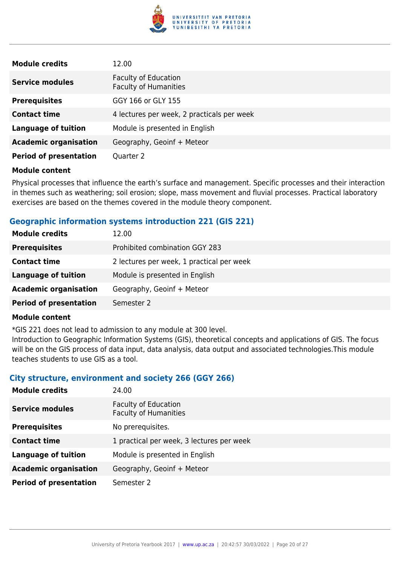

| <b>Module credits</b>         | 12.00                                                       |
|-------------------------------|-------------------------------------------------------------|
| <b>Service modules</b>        | <b>Faculty of Education</b><br><b>Faculty of Humanities</b> |
| <b>Prerequisites</b>          | GGY 166 or GLY 155                                          |
| <b>Contact time</b>           | 4 lectures per week, 2 practicals per week                  |
| <b>Language of tuition</b>    | Module is presented in English                              |
| <b>Academic organisation</b>  | Geography, Geoinf + Meteor                                  |
| <b>Period of presentation</b> | Quarter 2                                                   |

Physical processes that influence the earth's surface and management. Specific processes and their interaction in themes such as weathering; soil erosion; slope, mass movement and fluvial processes. Practical laboratory exercises are based on the themes covered in the module theory component.

#### **Geographic information systems introduction 221 (GIS 221)**

| <b>Module credits</b>         | 12.00                                     |
|-------------------------------|-------------------------------------------|
| <b>Prerequisites</b>          | Prohibited combination GGY 283            |
| <b>Contact time</b>           | 2 lectures per week, 1 practical per week |
| <b>Language of tuition</b>    | Module is presented in English            |
| <b>Academic organisation</b>  | Geography, Geoinf + Meteor                |
| <b>Period of presentation</b> | Semester 2                                |
|                               |                                           |

#### **Module content**

\*GIS 221 does not lead to admission to any module at 300 level.

Introduction to Geographic Information Systems (GIS), theoretical concepts and applications of GIS. The focus will be on the GIS process of data input, data analysis, data output and associated technologies.This module teaches students to use GIS as a tool.

#### **City structure, environment and society 266 (GGY 266)**

| <b>Module credits</b>         | 24.00                                                       |
|-------------------------------|-------------------------------------------------------------|
| <b>Service modules</b>        | <b>Faculty of Education</b><br><b>Faculty of Humanities</b> |
| <b>Prerequisites</b>          | No prerequisites.                                           |
| <b>Contact time</b>           | 1 practical per week, 3 lectures per week                   |
| <b>Language of tuition</b>    | Module is presented in English                              |
| <b>Academic organisation</b>  | Geography, Geoinf + Meteor                                  |
| <b>Period of presentation</b> | Semester 2                                                  |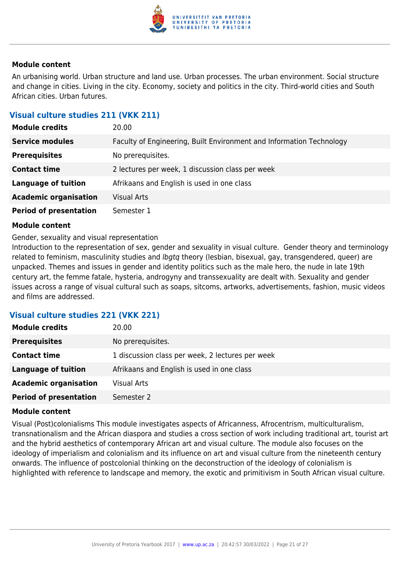

An urbanising world. Urban structure and land use. Urban processes. The urban environment. Social structure and change in cities. Living in the city. Economy, society and politics in the city. Third-world cities and South African cities. Urban futures.

#### **Visual culture studies 211 (VKK 211)**

| <b>Module credits</b>         | 20.00                                                                |
|-------------------------------|----------------------------------------------------------------------|
| <b>Service modules</b>        | Faculty of Engineering, Built Environment and Information Technology |
| <b>Prerequisites</b>          | No prerequisites.                                                    |
| <b>Contact time</b>           | 2 lectures per week, 1 discussion class per week                     |
| <b>Language of tuition</b>    | Afrikaans and English is used in one class                           |
| <b>Academic organisation</b>  | <b>Visual Arts</b>                                                   |
| <b>Period of presentation</b> | Semester 1                                                           |

#### **Module content**

Gender, sexuality and visual representation

Introduction to the representation of sex, gender and sexuality in visual culture. Gender theory and terminology related to feminism, masculinity studies and *lbgtq* theory (lesbian, bisexual, gay, transgendered, queer) are unpacked. Themes and issues in gender and identity politics such as the male hero, the nude in late 19th century art, the femme fatale, hysteria, androgyny and transsexuality are dealt with. Sexuality and gender issues across a range of visual cultural such as soaps, sitcoms, artworks, advertisements, fashion, music videos and films are addressed.

#### **Visual culture studies 221 (VKK 221)**

| <b>Module credits</b>         | 20.00                                            |
|-------------------------------|--------------------------------------------------|
| <b>Prerequisites</b>          | No prerequisites.                                |
| <b>Contact time</b>           | 1 discussion class per week, 2 lectures per week |
| <b>Language of tuition</b>    | Afrikaans and English is used in one class       |
| <b>Academic organisation</b>  | <b>Visual Arts</b>                               |
| <b>Period of presentation</b> | Semester 2                                       |

#### **Module content**

Visual (Post)colonialisms This module investigates aspects of Africanness, Afrocentrism, multiculturalism, transnationalism and the African diaspora and studies a cross section of work including traditional art, tourist art and the hybrid aesthetics of contemporary African art and visual culture. The module also focuses on the ideology of imperialism and colonialism and its influence on art and visual culture from the nineteenth century onwards. The influence of postcolonial thinking on the deconstruction of the ideology of colonialism is highlighted with reference to landscape and memory, the exotic and primitivism in South African visual culture.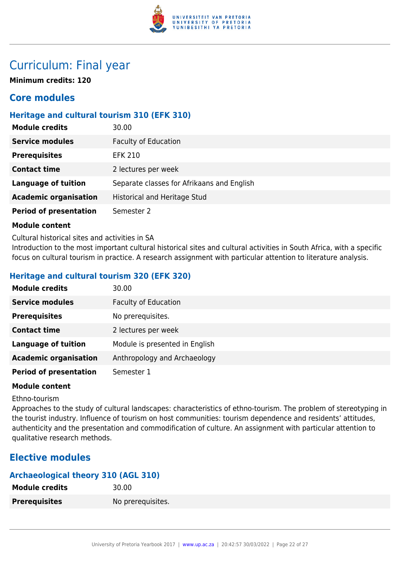

## Curriculum: Final year

**Minimum credits: 120**

## **Core modules**

### **Heritage and cultural tourism 310 (EFK 310)**

| <b>Module credits</b>         | 30.00                                      |
|-------------------------------|--------------------------------------------|
| <b>Service modules</b>        | <b>Faculty of Education</b>                |
| <b>Prerequisites</b>          | EFK 210                                    |
| <b>Contact time</b>           | 2 lectures per week                        |
| <b>Language of tuition</b>    | Separate classes for Afrikaans and English |
| <b>Academic organisation</b>  | Historical and Heritage Stud               |
| <b>Period of presentation</b> | Semester 2                                 |

#### **Module content**

Cultural historical sites and activities in SA

Introduction to the most important cultural historical sites and cultural activities in South Africa, with a specific focus on cultural tourism in practice. A research assignment with particular attention to literature analysis.

#### **Heritage and cultural tourism 320 (EFK 320)**

| <b>Module credits</b>         | 30.00                          |
|-------------------------------|--------------------------------|
| <b>Service modules</b>        | <b>Faculty of Education</b>    |
| <b>Prerequisites</b>          | No prerequisites.              |
| <b>Contact time</b>           | 2 lectures per week            |
| <b>Language of tuition</b>    | Module is presented in English |
| <b>Academic organisation</b>  | Anthropology and Archaeology   |
| <b>Period of presentation</b> | Semester 1                     |

#### **Module content**

#### Ethno-tourism

Approaches to the study of cultural landscapes: characteristics of ethno-tourism. The problem of stereotyping in the tourist industry. Influence of tourism on host communities: tourism dependence and residents' attitudes, authenticity and the presentation and commodification of culture. An assignment with particular attention to qualitative research methods.

## **Elective modules**

### **Archaeological theory 310 (AGL 310)**

| Module credits       | 30.00             |
|----------------------|-------------------|
| <b>Prerequisites</b> | No prerequisites. |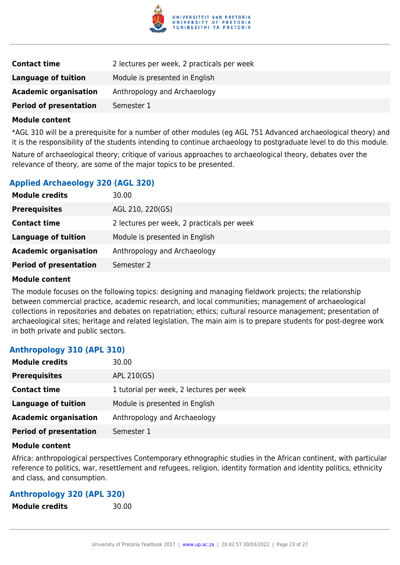

| <b>Contact time</b>           | 2 lectures per week, 2 practicals per week |
|-------------------------------|--------------------------------------------|
| Language of tuition           | Module is presented in English             |
| <b>Academic organisation</b>  | Anthropology and Archaeology               |
| <b>Period of presentation</b> | Semester 1                                 |

\*AGL 310 will be a prerequisite for a number of other modules (eg AGL 751 Advanced archaeological theory) and it is the responsibility of the students intending to continue archaeology to postgraduate level to do this module. Nature of archaeological theory; critique of various approaches to archaeological theory, debates over the relevance of theory, are some of the major topics to be presented.

#### **Applied Archaeology 320 (AGL 320)**

| <b>Module credits</b>         | 30.00                                      |
|-------------------------------|--------------------------------------------|
| <b>Prerequisites</b>          | AGL 210, 220(GS)                           |
| <b>Contact time</b>           | 2 lectures per week, 2 practicals per week |
| <b>Language of tuition</b>    | Module is presented in English             |
| <b>Academic organisation</b>  | Anthropology and Archaeology               |
| <b>Period of presentation</b> | Semester 2                                 |

#### **Module content**

The module focuses on the following topics: designing and managing fieldwork projects; the relationship between commercial practice, academic research, and local communities; management of archaeological collections in repositories and debates on repatriation; ethics; cultural resource management; presentation of archaeological sites; heritage and related legislation, The main aim is to prepare students for post-degree work in both private and public sectors.

#### **Anthropology 310 (APL 310)**

| <b>Module credits</b>         | 30.00                                    |
|-------------------------------|------------------------------------------|
| <b>Prerequisites</b>          | APL 210(GS)                              |
| <b>Contact time</b>           | 1 tutorial per week, 2 lectures per week |
| Language of tuition           | Module is presented in English           |
| <b>Academic organisation</b>  | Anthropology and Archaeology             |
| <b>Period of presentation</b> | Semester 1                               |

#### **Module content**

Africa: anthropological perspectives Contemporary ethnographic studies in the African continent, with particular reference to politics, war, resettlement and refugees, religion, identity formation and identity politics, ethnicity and class, and consumption.

#### **Anthropology 320 (APL 320)**

**Module credits** 30.00

University of Pretoria Yearbook 2017 | [www.up.ac.za](https://www.google.com/) | 20:42:57 30/03/2022 | Page 23 of 27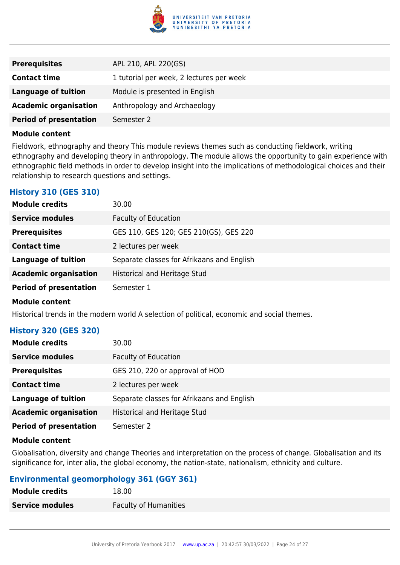

| <b>Prerequisites</b>          | APL 210, APL 220(GS)                     |
|-------------------------------|------------------------------------------|
| <b>Contact time</b>           | 1 tutorial per week, 2 lectures per week |
| Language of tuition           | Module is presented in English           |
| <b>Academic organisation</b>  | Anthropology and Archaeology             |
| <b>Period of presentation</b> | Semester 2                               |

Fieldwork, ethnography and theory This module reviews themes such as conducting fieldwork, writing ethnography and developing theory in anthropology. The module allows the opportunity to gain experience with ethnographic field methods in order to develop insight into the implications of methodological choices and their relationship to research questions and settings.

#### **History 310 (GES 310)**

| <b>Module credits</b>         | 30.00                                      |
|-------------------------------|--------------------------------------------|
| <b>Service modules</b>        | <b>Faculty of Education</b>                |
| <b>Prerequisites</b>          | GES 110, GES 120; GES 210(GS), GES 220     |
| <b>Contact time</b>           | 2 lectures per week                        |
| <b>Language of tuition</b>    | Separate classes for Afrikaans and English |
| <b>Academic organisation</b>  | Historical and Heritage Stud               |
| <b>Period of presentation</b> | Semester 1                                 |
| <b>Module content</b>         |                                            |

Historical trends in the modern world A selection of political, economic and social themes.

#### **History 320 (GES 320)**

| <b>Module credits</b>         | 30.00                                      |
|-------------------------------|--------------------------------------------|
| <b>Service modules</b>        | <b>Faculty of Education</b>                |
| <b>Prerequisites</b>          | GES 210, 220 or approval of HOD            |
| <b>Contact time</b>           | 2 lectures per week                        |
| <b>Language of tuition</b>    | Separate classes for Afrikaans and English |
| <b>Academic organisation</b>  | <b>Historical and Heritage Stud</b>        |
| <b>Period of presentation</b> | Semester 2                                 |

#### **Module content**

Globalisation, diversity and change Theories and interpretation on the process of change. Globalisation and its significance for, inter alia, the global economy, the nation-state, nationalism, ethnicity and culture.

#### **Environmental geomorphology 361 (GGY 361)**

| <b>Module credits</b>  | 18.00                        |
|------------------------|------------------------------|
| <b>Service modules</b> | <b>Faculty of Humanities</b> |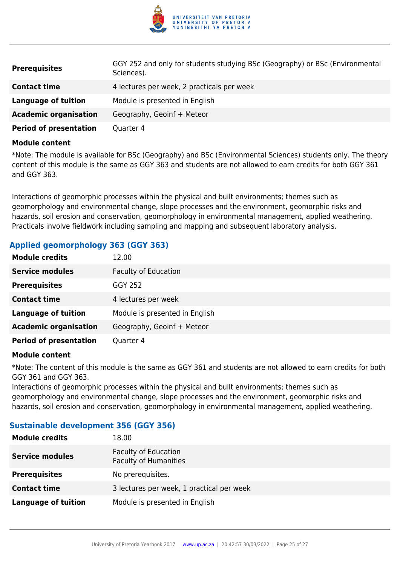

| <b>Prerequisites</b>          | GGY 252 and only for students studying BSc (Geography) or BSc (Environmental<br>Sciences). |
|-------------------------------|--------------------------------------------------------------------------------------------|
| <b>Contact time</b>           | 4 lectures per week, 2 practicals per week                                                 |
| <b>Language of tuition</b>    | Module is presented in English                                                             |
| <b>Academic organisation</b>  | Geography, Geoinf + Meteor                                                                 |
| <b>Period of presentation</b> | Quarter 4                                                                                  |

\*Note: The module is available for BSc (Geography) and BSc (Environmental Sciences) students only. The theory content of this module is the same as GGY 363 and students are not allowed to earn credits for both GGY 361 and GGY 363.

Interactions of geomorphic processes within the physical and built environments; themes such as geomorphology and environmental change, slope processes and the environment, geomorphic risks and hazards, soil erosion and conservation, geomorphology in environmental management, applied weathering. Practicals involve fieldwork including sampling and mapping and subsequent laboratory analysis.

#### **Applied geomorphology 363 (GGY 363)**

| <b>Module credits</b>         | 12.00                          |
|-------------------------------|--------------------------------|
| <b>Service modules</b>        | <b>Faculty of Education</b>    |
| <b>Prerequisites</b>          | <b>GGY 252</b>                 |
| <b>Contact time</b>           | 4 lectures per week            |
| <b>Language of tuition</b>    | Module is presented in English |
| <b>Academic organisation</b>  | Geography, Geoinf + Meteor     |
| <b>Period of presentation</b> | Quarter 4                      |

#### **Module content**

\*Note: The content of this module is the same as GGY 361 and students are not allowed to earn credits for both GGY 361 and GGY 363.

Interactions of geomorphic processes within the physical and built environments; themes such as geomorphology and environmental change, slope processes and the environment, geomorphic risks and hazards, soil erosion and conservation, geomorphology in environmental management, applied weathering.

#### **Sustainable development 356 (GGY 356)**

| <b>Module credits</b>      | 18.00                                                       |
|----------------------------|-------------------------------------------------------------|
| <b>Service modules</b>     | <b>Faculty of Education</b><br><b>Faculty of Humanities</b> |
| <b>Prerequisites</b>       | No prerequisites.                                           |
| <b>Contact time</b>        | 3 lectures per week, 1 practical per week                   |
| <b>Language of tuition</b> | Module is presented in English                              |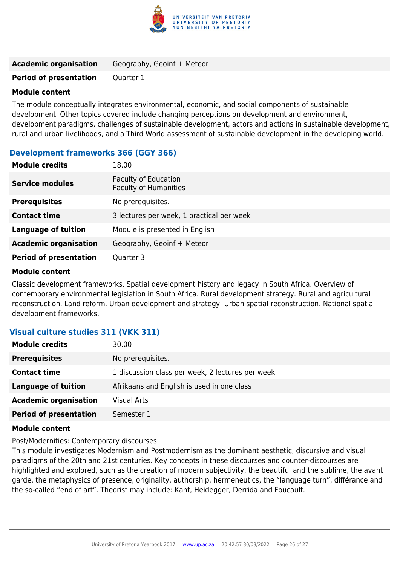

| <b>Academic organisation</b> | Geography, Geoinf + Meteor |  |
|------------------------------|----------------------------|--|
|                              |                            |  |

#### **Period of presentation** Quarter 1

#### **Module content**

The module conceptually integrates environmental, economic, and social components of sustainable development. Other topics covered include changing perceptions on development and environment, development paradigms, challenges of sustainable development, actors and actions in sustainable development, rural and urban livelihoods, and a Third World assessment of sustainable development in the developing world.

#### **Development frameworks 366 (GGY 366)**

| <b>Module credits</b>         | 18.00                                                       |
|-------------------------------|-------------------------------------------------------------|
| <b>Service modules</b>        | <b>Faculty of Education</b><br><b>Faculty of Humanities</b> |
| <b>Prerequisites</b>          | No prerequisites.                                           |
| <b>Contact time</b>           | 3 lectures per week, 1 practical per week                   |
| <b>Language of tuition</b>    | Module is presented in English                              |
| <b>Academic organisation</b>  | Geography, Geoinf + Meteor                                  |
| <b>Period of presentation</b> | Quarter 3                                                   |

#### **Module content**

Classic development frameworks. Spatial development history and legacy in South Africa. Overview of contemporary environmental legislation in South Africa. Rural development strategy. Rural and agricultural reconstruction. Land reform. Urban development and strategy. Urban spatial reconstruction. National spatial development frameworks.

#### **Visual culture studies 311 (VKK 311)**

| <b>Module credits</b>         | 30.00                                            |
|-------------------------------|--------------------------------------------------|
| <b>Prerequisites</b>          | No prerequisites.                                |
| <b>Contact time</b>           | 1 discussion class per week, 2 lectures per week |
| <b>Language of tuition</b>    | Afrikaans and English is used in one class       |
| <b>Academic organisation</b>  | <b>Visual Arts</b>                               |
| <b>Period of presentation</b> | Semester 1                                       |

#### **Module content**

Post/Modernities: Contemporary discourses

This module investigates Modernism and Postmodernism as the dominant aesthetic, discursive and visual paradigms of the 20th and 21st centuries. Key concepts in these discourses and counter-discourses are highlighted and explored, such as the creation of modern subjectivity, the beautiful and the sublime, the avant garde, the metaphysics of presence, originality, authorship, hermeneutics, the "language turn", différance and the so-called "end of art". Theorist may include: Kant, Heidegger, Derrida and Foucault.